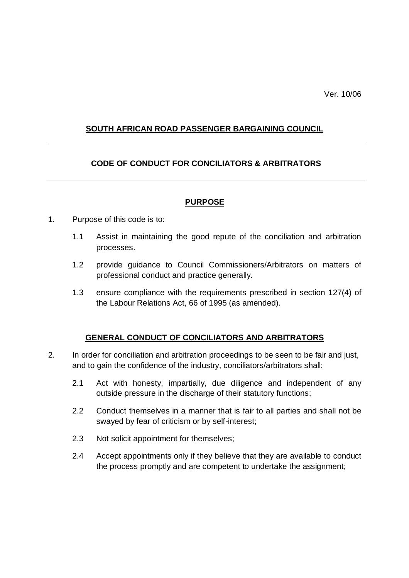## **SOUTH AFRICAN ROAD PASSENGER BARGAINING COUNCIL**

## **CODE OF CONDUCT FOR CONCILIATORS & ARBITRATORS**

#### **PURPOSE**

- 1. Purpose of this code is to:
	- 1.1 Assist in maintaining the good repute of the conciliation and arbitration processes.
	- 1.2 provide guidance to Council Commissioners/Arbitrators on matters of professional conduct and practice generally.
	- 1.3 ensure compliance with the requirements prescribed in section 127(4) of the Labour Relations Act, 66 of 1995 (as amended).

## **GENERAL CONDUCT OF CONCILIATORS AND ARBITRATORS**

- 2. In order for conciliation and arbitration proceedings to be seen to be fair and just, and to gain the confidence of the industry, conciliators/arbitrators shall:
	- 2.1 Act with honesty, impartially, due diligence and independent of any outside pressure in the discharge of their statutory functions;
	- 2.2 Conduct themselves in a manner that is fair to all parties and shall not be swayed by fear of criticism or by self-interest;
	- 2.3 Not solicit appointment for themselves;
	- 2.4 Accept appointments only if they believe that they are available to conduct the process promptly and are competent to undertake the assignment;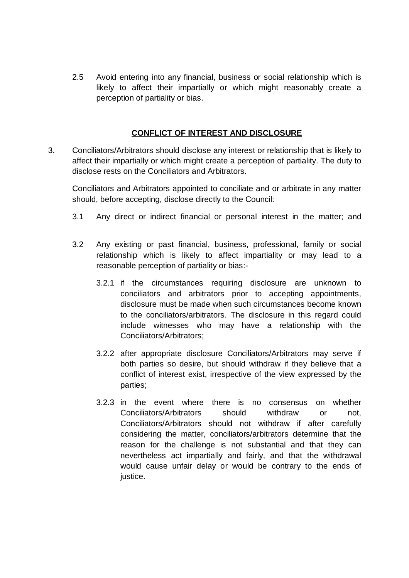2.5 Avoid entering into any financial, business or social relationship which is likely to affect their impartially or which might reasonably create a perception of partiality or bias.

### **CONFLICT OF INTEREST AND DISCLOSURE**

3. Conciliators/Arbitrators should disclose any interest or relationship that is likely to affect their impartially or which might create a perception of partiality. The duty to disclose rests on the Conciliators and Arbitrators.

Conciliators and Arbitrators appointed to conciliate and or arbitrate in any matter should, before accepting, disclose directly to the Council:

- 3.1 Any direct or indirect financial or personal interest in the matter; and
- 3.2 Any existing or past financial, business, professional, family or social relationship which is likely to affect impartiality or may lead to a reasonable perception of partiality or bias:-
	- 3.2.1 if the circumstances requiring disclosure are unknown to conciliators and arbitrators prior to accepting appointments, disclosure must be made when such circumstances become known to the conciliators/arbitrators. The disclosure in this regard could include witnesses who may have a relationship with the Conciliators/Arbitrators;
	- 3.2.2 after appropriate disclosure Conciliators/Arbitrators may serve if both parties so desire, but should withdraw if they believe that a conflict of interest exist, irrespective of the view expressed by the parties;
	- 3.2.3 in the event where there is no consensus on whether Conciliators/Arbitrators should withdraw or not, Conciliators/Arbitrators should not withdraw if after carefully considering the matter, conciliators/arbitrators determine that the reason for the challenge is not substantial and that they can nevertheless act impartially and fairly, and that the withdrawal would cause unfair delay or would be contrary to the ends of justice.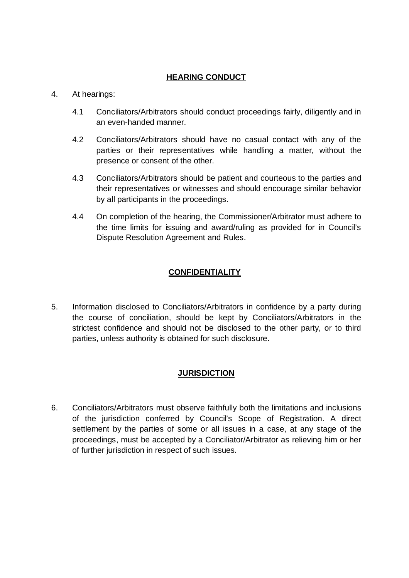## **HEARING CONDUCT**

### 4. At hearings:

- 4.1 Conciliators/Arbitrators should conduct proceedings fairly, diligently and in an even-handed manner.
- 4.2 Conciliators/Arbitrators should have no casual contact with any of the parties or their representatives while handling a matter, without the presence or consent of the other.
- 4.3 Conciliators/Arbitrators should be patient and courteous to the parties and their representatives or witnesses and should encourage similar behavior by all participants in the proceedings.
- 4.4 On completion of the hearing, the Commissioner/Arbitrator must adhere to the time limits for issuing and award/ruling as provided for in Council's Dispute Resolution Agreement and Rules.

## **CONFIDENTIALITY**

5. Information disclosed to Conciliators/Arbitrators in confidence by a party during the course of conciliation, should be kept by Conciliators/Arbitrators in the strictest confidence and should not be disclosed to the other party, or to third parties, unless authority is obtained for such disclosure.

## **JURISDICTION**

6. Conciliators/Arbitrators must observe faithfully both the limitations and inclusions of the jurisdiction conferred by Council's Scope of Registration. A direct settlement by the parties of some or all issues in a case, at any stage of the proceedings, must be accepted by a Conciliator/Arbitrator as relieving him or her of further jurisdiction in respect of such issues.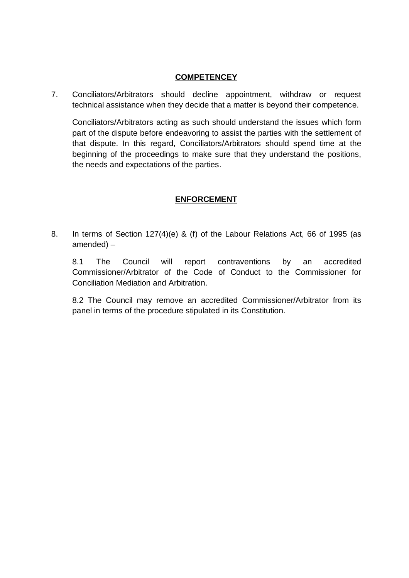### **COMPETENCEY**

7. Conciliators/Arbitrators should decline appointment, withdraw or request technical assistance when they decide that a matter is beyond their competence.

Conciliators/Arbitrators acting as such should understand the issues which form part of the dispute before endeavoring to assist the parties with the settlement of that dispute. In this regard, Conciliators/Arbitrators should spend time at the beginning of the proceedings to make sure that they understand the positions, the needs and expectations of the parties.

## **ENFORCEMENT**

8. In terms of Section 127(4)(e) & (f) of the Labour Relations Act, 66 of 1995 (as amended) –

8.1 The Council will report contraventions by an accredited Commissioner/Arbitrator of the Code of Conduct to the Commissioner for Conciliation Mediation and Arbitration.

8.2 The Council may remove an accredited Commissioner/Arbitrator from its panel in terms of the procedure stipulated in its Constitution.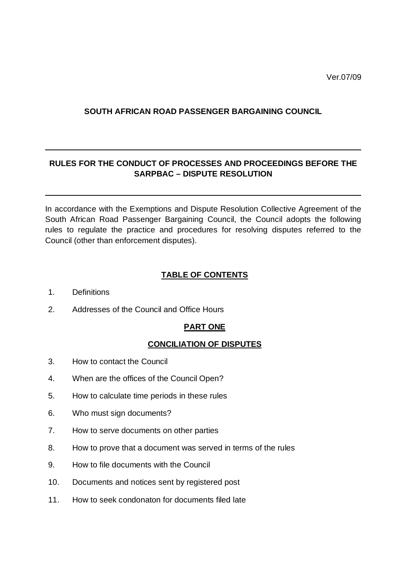## **SOUTH AFRICAN ROAD PASSENGER BARGAINING COUNCIL**

# **RULES FOR THE CONDUCT OF PROCESSES AND PROCEEDINGS BEFORE THE SARPBAC – DISPUTE RESOLUTION**

In accordance with the Exemptions and Dispute Resolution Collective Agreement of the South African Road Passenger Bargaining Council, the Council adopts the following rules to regulate the practice and procedures for resolving disputes referred to the Council (other than enforcement disputes).

## **TABLE OF CONTENTS**

- 1. Definitions
- 2. Addresses of the Council and Office Hours

## **PART ONE**

## **CONCILIATION OF DISPUTES**

- 3. How to contact the Council
- 4. When are the offices of the Council Open?
- 5. How to calculate time periods in these rules
- 6. Who must sign documents?
- 7. How to serve documents on other parties
- 8. How to prove that a document was served in terms of the rules
- 9. How to file documents with the Council
- 10. Documents and notices sent by registered post
- 11. How to seek condonaton for documents filed late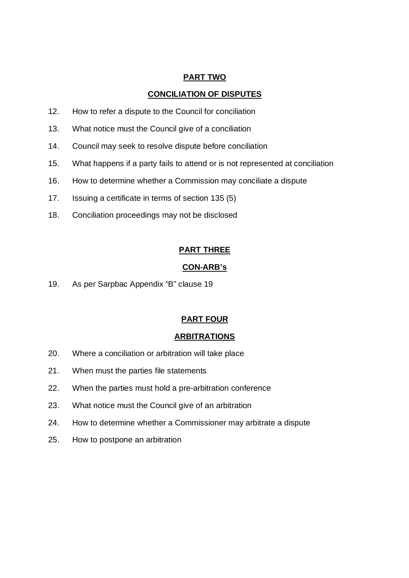## **PART TWO**

#### **CONCILIATION OF DISPUTES**

- 12. How to refer a dispute to the Council for conciliation
- 13. What notice must the Council give of a conciliation
- 14. Council may seek to resolve dispute before conciliation
- 15. What happens if a party fails to attend or is not represented at conciliation
- 16. How to determine whether a Commission may conciliate a dispute
- 17. Issuing a certificate in terms of section 135 (5)
- 18. Conciliation proceedings may not be disclosed

### **PART THREE**

#### **CON-ARB's**

19. As per Sarpbac Appendix "B" clause 19

#### **PART FOUR**

#### **ARBITRATIONS**

- 20. Where a conciliation or arbitration will take place
- 21. When must the parties file statements
- 22. When the parties must hold a pre-arbitration conference
- 23. What notice must the Council give of an arbitration
- 24. How to determine whether a Commissioner may arbitrate a dispute
- 25. How to postpone an arbitration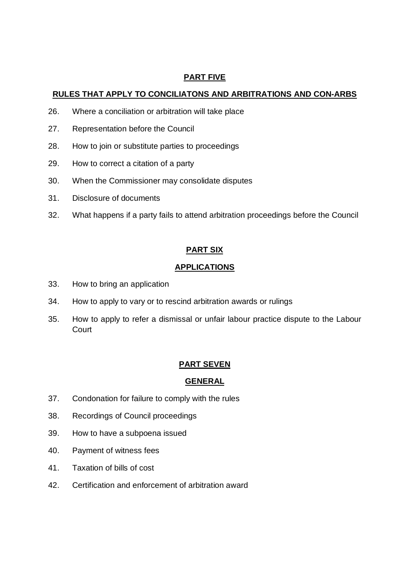## **PART FIVE**

## **RULES THAT APPLY TO CONCILIATONS AND ARBITRATIONS AND CON-ARBS**

- 26. Where a conciliation or arbitration will take place
- 27. Representation before the Council
- 28. How to join or substitute parties to proceedings
- 29. How to correct a citation of a party
- 30. When the Commissioner may consolidate disputes
- 31. Disclosure of documents
- 32. What happens if a party fails to attend arbitration proceedings before the Council

## **PART SIX**

### **APPLICATIONS**

- 33. How to bring an application
- 34. How to apply to vary or to rescind arbitration awards or rulings
- 35. How to apply to refer a dismissal or unfair labour practice dispute to the Labour **Court**

## **PART SEVEN**

## **GENERAL**

- 37. Condonation for failure to comply with the rules
- 38. Recordings of Council proceedings
- 39. How to have a subpoena issued
- 40. Payment of witness fees
- 41. Taxation of bills of cost
- 42. Certification and enforcement of arbitration award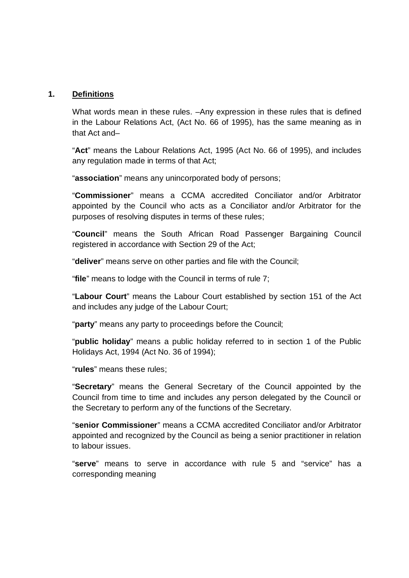#### **1. Definitions**

What words mean in these rules. –Any expression in these rules that is defined in the Labour Relations Act, (Act No. 66 of 1995), has the same meaning as in that Act and–

"**Act**" means the Labour Relations Act, 1995 (Act No. 66 of 1995), and includes any regulation made in terms of that Act;

"**association**" means any unincorporated body of persons;

"**Commissioner**" means a CCMA accredited Conciliator and/or Arbitrator appointed by the Council who acts as a Conciliator and/or Arbitrator for the purposes of resolving disputes in terms of these rules;

"**Council**" means the South African Road Passenger Bargaining Council registered in accordance with Section 29 of the Act;

"**deliver**" means serve on other parties and file with the Council;

"**file**" means to lodge with the Council in terms of rule 7;

"**Labour Court**" means the Labour Court established by section 151 of the Act and includes any judge of the Labour Court;

"**party**" means any party to proceedings before the Council;

"**public holiday**" means a public holiday referred to in section 1 of the Public Holidays Act, 1994 (Act No. 36 of 1994);

"**rules**" means these rules;

"**Secretary**" means the General Secretary of the Council appointed by the Council from time to time and includes any person delegated by the Council or the Secretary to perform any of the functions of the Secretary.

"**senior Commissioner**" means a CCMA accredited Conciliator and/or Arbitrator appointed and recognized by the Council as being a senior practitioner in relation to labour issues.

"**serve**" means to serve in accordance with rule 5 and "service" has a corresponding meaning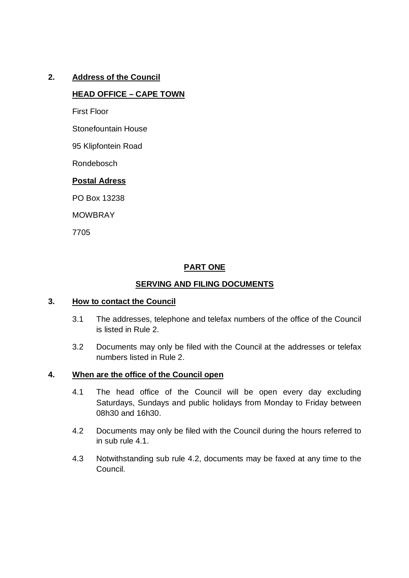## **2. Address of the Council**

### **HEAD OFFICE – CAPE TOWN**

First Floor

Stonefountain House

95 Klipfontein Road

Rondebosch

### **Postal Adress**

PO Box 13238

MOWBRAY

7705

## **PART ONE**

### **SERVING AND FILING DOCUMENTS**

#### **3. How to contact the Council**

- 3.1 The addresses, telephone and telefax numbers of the office of the Council is listed in Rule 2.
- 3.2 Documents may only be filed with the Council at the addresses or telefax numbers listed in Rule 2.

#### **4. When are the office of the Council open**

- 4.1 The head office of the Council will be open every day excluding Saturdays, Sundays and public holidays from Monday to Friday between 08h30 and 16h30.
- 4.2 Documents may only be filed with the Council during the hours referred to in sub rule 4.1.
- 4.3 Notwithstanding sub rule 4.2, documents may be faxed at any time to the Council.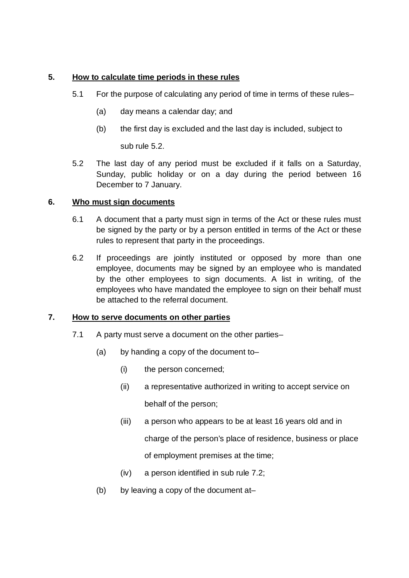## **5. How to calculate time periods in these rules**

- 5.1 For the purpose of calculating any period of time in terms of these rules–
	- (a) day means a calendar day; and
	- (b) the first day is excluded and the last day is included, subject to

sub rule 5.2.

5.2 The last day of any period must be excluded if it falls on a Saturday, Sunday, public holiday or on a day during the period between 16 December to 7 January.

## **6. Who must sign documents**

- 6.1 A document that a party must sign in terms of the Act or these rules must be signed by the party or by a person entitled in terms of the Act or these rules to represent that party in the proceedings.
- 6.2 If proceedings are jointly instituted or opposed by more than one employee, documents may be signed by an employee who is mandated by the other employees to sign documents. A list in writing, of the employees who have mandated the employee to sign on their behalf must be attached to the referral document.

## **7. How to serve documents on other parties**

- 7.1 A party must serve a document on the other parties–
	- (a) by handing a copy of the document to–
		- (i) the person concerned;
		- (ii) a representative authorized in writing to accept service on behalf of the person;
		- (iii) a person who appears to be at least 16 years old and in charge of the person's place of residence, business or place of employment premises at the time;
		- (iv) a person identified in sub rule 7.2;
	- (b) by leaving a copy of the document at–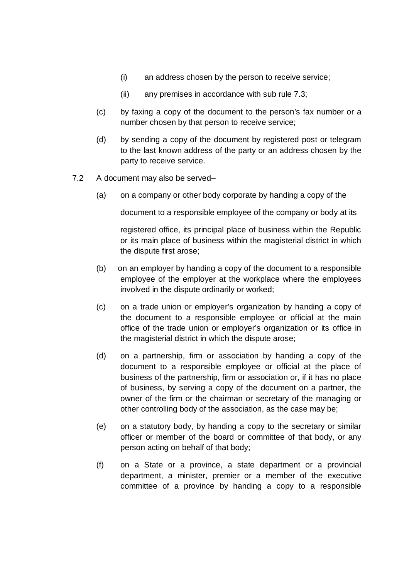- (i) an address chosen by the person to receive service;
- (ii) any premises in accordance with sub rule 7.3;
- (c) by faxing a copy of the document to the person's fax number or a number chosen by that person to receive service;
- (d) by sending a copy of the document by registered post or telegram to the last known address of the party or an address chosen by the party to receive service.
- 7.2 A document may also be served–
	- (a) on a company or other body corporate by handing a copy of the

document to a responsible employee of the company or body at its

registered office, its principal place of business within the Republic or its main place of business within the magisterial district in which the dispute first arose;

- (b) on an employer by handing a copy of the document to a responsible employee of the employer at the workplace where the employees involved in the dispute ordinarily or worked;
- (c) on a trade union or employer's organization by handing a copy of the document to a responsible employee or official at the main office of the trade union or employer's organization or its office in the magisterial district in which the dispute arose;
- (d) on a partnership, firm or association by handing a copy of the document to a responsible employee or official at the place of business of the partnership, firm or association or, if it has no place of business, by serving a copy of the document on a partner, the owner of the firm or the chairman or secretary of the managing or other controlling body of the association, as the case may be;
- (e) on a statutory body, by handing a copy to the secretary or similar officer or member of the board or committee of that body, or any person acting on behalf of that body;
- (f) on a State or a province, a state department or a provincial department, a minister, premier or a member of the executive committee of a province by handing a copy to a responsible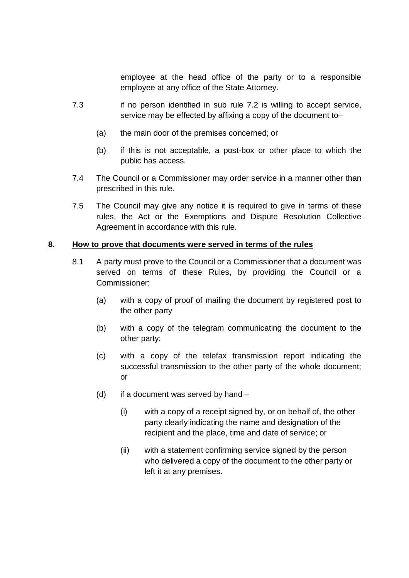employee at the head office of the party or to a responsible employee at any office of the State Attorney.

- 7.3 if no person identified in sub rule 7.2 is willing to accept service, service may be effected by affixing a copy of the document to–
	- (a) the main door of the premises concerned; or
	- (b) if this is not acceptable, a post-box or other place to which the public has access.
- 7.4 The Council or a Commissioner may order service in a manner other than prescribed in this rule.
- 7.5 The Council may give any notice it is required to give in terms of these rules, the Act or the Exemptions and Dispute Resolution Collective Agreement in accordance with this rule.

## **8. How to prove that documents were served in terms of the rules**

- 8.1 A party must prove to the Council or a Commissioner that a document was served on terms of these Rules, by providing the Council or a Commissioner:
	- (a) with a copy of proof of mailing the document by registered post to the other party
	- (b) with a copy of the telegram communicating the document to the other party;
	- (c) with a copy of the telefax transmission report indicating the successful transmission to the other party of the whole document; or
	- (d) if a document was served by hand
		- (i) with a copy of a receipt signed by, or on behalf of, the other party clearly indicating the name and designation of the recipient and the place, time and date of service; or
		- (ii) with a statement confirming service signed by the person who delivered a copy of the document to the other party or left it at any premises.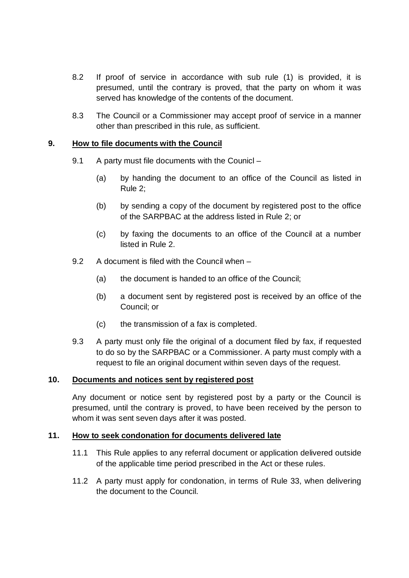- 8.2 If proof of service in accordance with sub rule (1) is provided, it is presumed, until the contrary is proved, that the party on whom it was served has knowledge of the contents of the document.
- 8.3 The Council or a Commissioner may accept proof of service in a manner other than prescribed in this rule, as sufficient.

### **9. How to file documents with the Council**

- 9.1 A party must file documents with the Counicl
	- (a) by handing the document to an office of the Council as listed in Rule 2;
	- (b) by sending a copy of the document by registered post to the office of the SARPBAC at the address listed in Rule 2; or
	- (c) by faxing the documents to an office of the Council at a number listed in Rule 2.
- 9.2 A document is filed with the Council when
	- (a) the document is handed to an office of the Council;
	- (b) a document sent by registered post is received by an office of the Council; or
	- (c) the transmission of a fax is completed.
- 9.3 A party must only file the original of a document filed by fax, if requested to do so by the SARPBAC or a Commissioner. A party must comply with a request to file an original document within seven days of the request.

#### **10. Documents and notices sent by registered post**

Any document or notice sent by registered post by a party or the Council is presumed, until the contrary is proved, to have been received by the person to whom it was sent seven days after it was posted.

#### **11. How to seek condonation for documents delivered late**

- 11.1 This Rule applies to any referral document or application delivered outside of the applicable time period prescribed in the Act or these rules.
- 11.2 A party must apply for condonation, in terms of Rule 33, when delivering the document to the Council.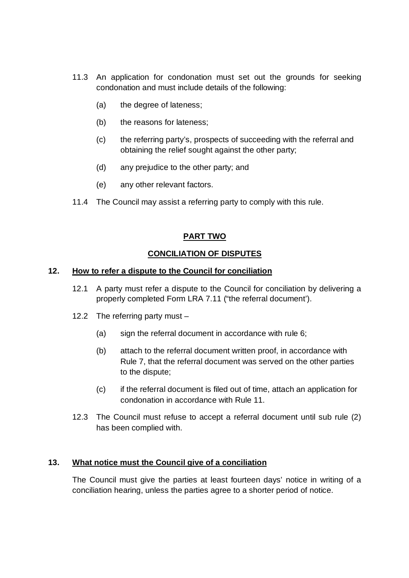- 11.3 An application for condonation must set out the grounds for seeking condonation and must include details of the following:
	- (a) the degree of lateness;
	- (b) the reasons for lateness;
	- (c) the referring party's, prospects of succeeding with the referral and obtaining the relief sought against the other party;
	- (d) any prejudice to the other party; and
	- (e) any other relevant factors.
- 11.4 The Council may assist a referring party to comply with this rule.

## **PART TWO**

## **CONCILIATION OF DISPUTES**

### **12. How to refer a dispute to the Council for conciliation**

- 12.1 A party must refer a dispute to the Council for conciliation by delivering a properly completed Form LRA 7.11 ("the referral document').
- 12.2 The referring party must
	- (a) sign the referral document in accordance with rule 6;
	- (b) attach to the referral document written proof, in accordance with Rule 7, that the referral document was served on the other parties to the dispute;
	- (c) if the referral document is filed out of time, attach an application for condonation in accordance with Rule 11.
- 12.3 The Council must refuse to accept a referral document until sub rule (2) has been complied with.

## **13. What notice must the Council give of a conciliation**

The Council must give the parties at least fourteen days' notice in writing of a conciliation hearing, unless the parties agree to a shorter period of notice.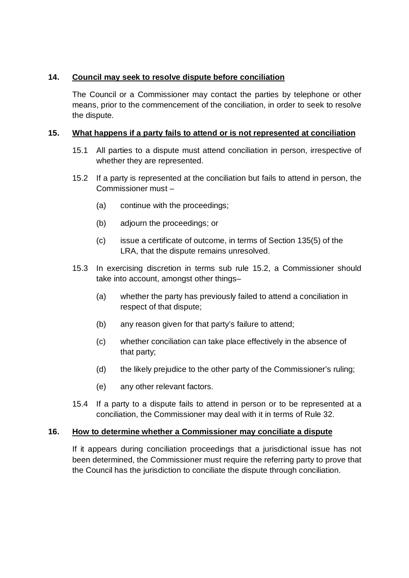## **14. Council may seek to resolve dispute before conciliation**

The Council or a Commissioner may contact the parties by telephone or other means, prior to the commencement of the conciliation, in order to seek to resolve the dispute.

## **15. What happens if a party fails to attend or is not represented at conciliation**

- 15.1 All parties to a dispute must attend conciliation in person, irrespective of whether they are represented.
- 15.2 If a party is represented at the conciliation but fails to attend in person, the Commissioner must –
	- (a) continue with the proceedings;
	- (b) adjourn the proceedings; or
	- (c) issue a certificate of outcome, in terms of Section 135(5) of the LRA, that the dispute remains unresolved.
- 15.3 In exercising discretion in terms sub rule 15.2, a Commissioner should take into account, amongst other things–
	- (a) whether the party has previously failed to attend a conciliation in respect of that dispute;
	- (b) any reason given for that party's failure to attend;
	- (c) whether conciliation can take place effectively in the absence of that party;
	- (d) the likely prejudice to the other party of the Commissioner's ruling;
	- (e) any other relevant factors.
- 15.4 If a party to a dispute fails to attend in person or to be represented at a conciliation, the Commissioner may deal with it in terms of Rule 32.

## **16. How to determine whether a Commissioner may conciliate a dispute**

If it appears during conciliation proceedings that a jurisdictional issue has not been determined, the Commissioner must require the referring party to prove that the Council has the jurisdiction to conciliate the dispute through conciliation.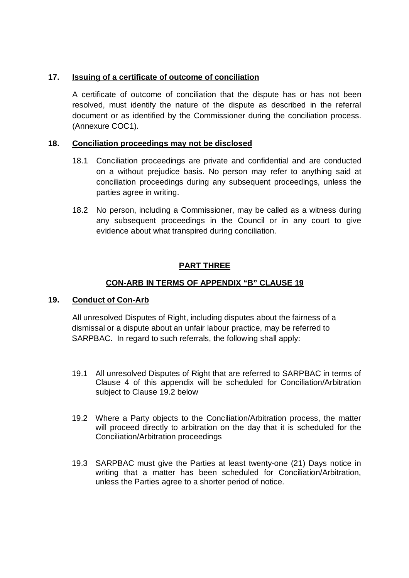## **17. Issuing of a certificate of outcome of conciliation**

A certificate of outcome of conciliation that the dispute has or has not been resolved, must identify the nature of the dispute as described in the referral document or as identified by the Commissioner during the conciliation process. (Annexure COC1).

### **18. Conciliation proceedings may not be disclosed**

- 18.1 Conciliation proceedings are private and confidential and are conducted on a without prejudice basis. No person may refer to anything said at conciliation proceedings during any subsequent proceedings, unless the parties agree in writing.
- 18.2 No person, including a Commissioner, may be called as a witness during any subsequent proceedings in the Council or in any court to give evidence about what transpired during conciliation.

## **PART THREE**

## **CON-ARB IN TERMS OF APPENDIX "B" CLAUSE 19**

## **19. Conduct of Con-Arb**

All unresolved Disputes of Right, including disputes about the fairness of a dismissal or a dispute about an unfair labour practice, may be referred to SARPBAC. In regard to such referrals, the following shall apply:

- 19.1 All unresolved Disputes of Right that are referred to SARPBAC in terms of Clause 4 of this appendix will be scheduled for Conciliation/Arbitration subject to Clause 19.2 below
- 19.2 Where a Party objects to the Conciliation/Arbitration process, the matter will proceed directly to arbitration on the day that it is scheduled for the Conciliation/Arbitration proceedings
- 19.3 SARPBAC must give the Parties at least twenty-one (21) Days notice in writing that a matter has been scheduled for Conciliation/Arbitration, unless the Parties agree to a shorter period of notice.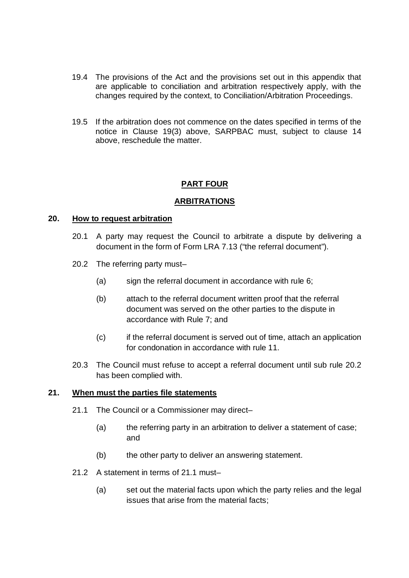- 19.4 The provisions of the Act and the provisions set out in this appendix that are applicable to conciliation and arbitration respectively apply, with the changes required by the context, to Conciliation/Arbitration Proceedings.
- 19.5 If the arbitration does not commence on the dates specified in terms of the notice in Clause 19(3) above, SARPBAC must, subject to clause 14 above, reschedule the matter.

## **PART FOUR**

### **ARBITRATIONS**

#### **20. How to request arbitration**

- 20.1 A party may request the Council to arbitrate a dispute by delivering a document in the form of Form LRA 7.13 ("the referral document").
- 20.2 The referring party must–
	- (a) sign the referral document in accordance with rule 6;
	- (b) attach to the referral document written proof that the referral document was served on the other parties to the dispute in accordance with Rule 7; and
	- (c) if the referral document is served out of time, attach an application for condonation in accordance with rule 11.
- 20.3 The Council must refuse to accept a referral document until sub rule 20.2 has been complied with.

#### **21. When must the parties file statements**

- 21.1 The Council or a Commissioner may direct–
	- (a) the referring party in an arbitration to deliver a statement of case; and
	- (b) the other party to deliver an answering statement.
- 21.2 A statement in terms of 21.1 must–
	- (a) set out the material facts upon which the party relies and the legal issues that arise from the material facts;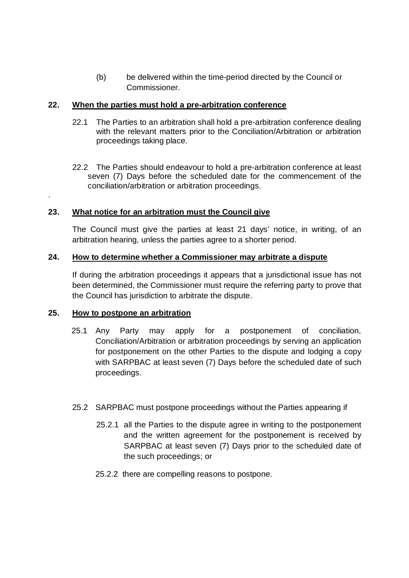(b) be delivered within the time-period directed by the Council or Commissioner.

### **22. When the parties must hold a pre-arbitration conference**

- 22.1 The Parties to an arbitration shall hold a pre-arbitration conference dealing with the relevant matters prior to the Conciliation/Arbitration or arbitration proceedings taking place.
- 22.2 The Parties should endeavour to hold a pre-arbitration conference at least seven (7) Days before the scheduled date for the commencement of the conciliation/arbitration or arbitration proceedings.

## **23. What notice for an arbitration must the Council give**

The Council must give the parties at least 21 days' notice, in writing, of an arbitration hearing, unless the parties agree to a shorter period.

### **24. How to determine whether a Commissioner may arbitrate a dispute**

If during the arbitration proceedings it appears that a jurisdictional issue has not been determined, the Commissioner must require the referring party to prove that the Council has jurisdiction to arbitrate the dispute.

### **25. How to postpone an arbitration**

.

- 25.1 Any Party may apply for a postponement of conciliation, Conciliation/Arbitration or arbitration proceedings by serving an application for postponement on the other Parties to the dispute and lodging a copy with SARPBAC at least seven (7) Days before the scheduled date of such proceedings.
- 25.2 SARPBAC must postpone proceedings without the Parties appearing if
	- 25.2.1 all the Parties to the dispute agree in writing to the postponement and the written agreement for the postponement is received by SARPBAC at least seven (7) Days prior to the scheduled date of the such proceedings; or
	- 25.2.2 there are compelling reasons to postpone.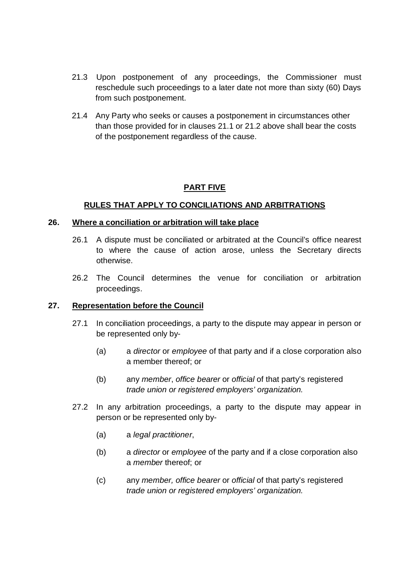- 21.3 Upon postponement of any proceedings, the Commissioner must reschedule such proceedings to a later date not more than sixty (60) Days from such postponement.
- 21.4 Any Party who seeks or causes a postponement in circumstances other than those provided for in clauses 21.1 or 21.2 above shall bear the costs of the postponement regardless of the cause.

## **PART FIVE**

### **RULES THAT APPLY TO CONCILIATIONS AND ARBITRATIONS**

#### **26. Where a conciliation or arbitration will take place**

- 26.1 A dispute must be conciliated or arbitrated at the Council's office nearest to where the cause of action arose, unless the Secretary directs otherwise.
- 26.2 The Council determines the venue for conciliation or arbitration proceedings.

#### **27. Representation before the Council**

- 27.1 In conciliation proceedings, a party to the dispute may appear in person or be represented only by-
	- (a) a *director* or *employee* of that party and if a close corporation also a member thereof; or
	- (b) any *member*, *office bearer* or *official* of that party's registered *trade union or registered employers' organization.*
- 27.2 In any arbitration proceedings, a party to the dispute may appear in person or be represented only by-
	- (a) a *legal practitioner*,
	- (b) a *director* or *employee* of the party and if a close corporation also a *member* thereof; or
	- (c) any *member, office bearer* or *official* of that party's registered *trade union or registered employers' organization.*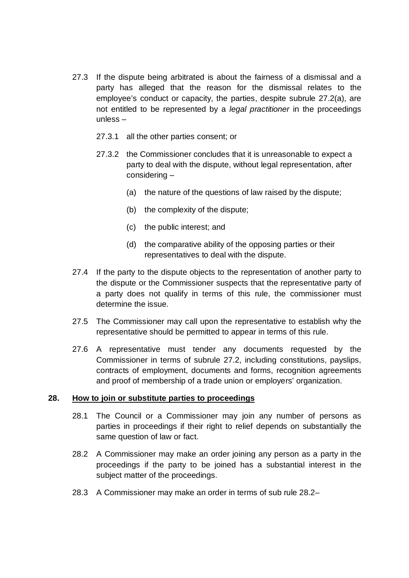- 27.3 If the dispute being arbitrated is about the fairness of a dismissal and a party has alleged that the reason for the dismissal relates to the employee's conduct or capacity, the parties, despite subrule 27.2(a), are not entitled to be represented by a *legal practitioner* in the proceedings unless –
	- 27.3.1 all the other parties consent; or
	- 27.3.2 the Commissioner concludes that it is unreasonable to expect a party to deal with the dispute, without legal representation, after considering –
		- (a) the nature of the questions of law raised by the dispute;
		- (b) the complexity of the dispute;
		- (c) the public interest; and
		- (d) the comparative ability of the opposing parties or their representatives to deal with the dispute.
- 27.4 If the party to the dispute objects to the representation of another party to the dispute or the Commissioner suspects that the representative party of a party does not qualify in terms of this rule, the commissioner must determine the issue.
- 27.5 The Commissioner may call upon the representative to establish why the representative should be permitted to appear in terms of this rule.
- 27.6 A representative must tender any documents requested by the Commissioner in terms of subrule 27.2, including constitutions, payslips, contracts of employment, documents and forms, recognition agreements and proof of membership of a trade union or employers' organization.

#### **28. How to join or substitute parties to proceedings**

- 28.1 The Council or a Commissioner may join any number of persons as parties in proceedings if their right to relief depends on substantially the same question of law or fact.
- 28.2 A Commissioner may make an order joining any person as a party in the proceedings if the party to be joined has a substantial interest in the subject matter of the proceedings.
- 28.3 A Commissioner may make an order in terms of sub rule 28.2–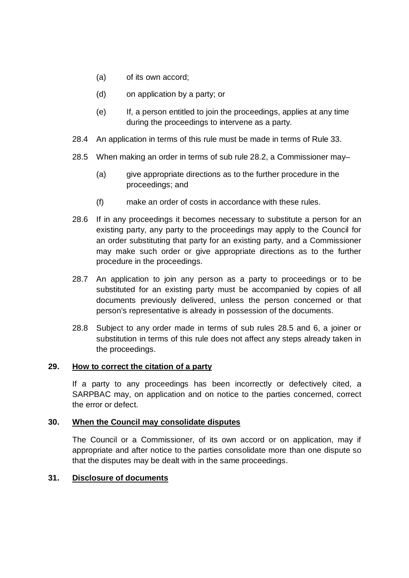- (a) of its own accord;
- (d) on application by a party; or
- (e) If, a person entitled to join the proceedings, applies at any time during the proceedings to intervene as a party.
- 28.4 An application in terms of this rule must be made in terms of Rule 33.
- 28.5 When making an order in terms of sub rule 28.2, a Commissioner may–
	- (a) give appropriate directions as to the further procedure in the proceedings; and
	- (f) make an order of costs in accordance with these rules.
- 28.6 If in any proceedings it becomes necessary to substitute a person for an existing party, any party to the proceedings may apply to the Council for an order substituting that party for an existing party, and a Commissioner may make such order or give appropriate directions as to the further procedure in the proceedings.
- 28.7 An application to join any person as a party to proceedings or to be substituted for an existing party must be accompanied by copies of all documents previously delivered, unless the person concerned or that person's representative is already in possession of the documents.
- 28.8 Subject to any order made in terms of sub rules 28.5 and 6, a joiner or substitution in terms of this rule does not affect any steps already taken in the proceedings.

## **29. How to correct the citation of a party**

If a party to any proceedings has been incorrectly or defectively cited, a SARPBAC may, on application and on notice to the parties concerned, correct the error or defect.

## **30. When the Council may consolidate disputes**

The Council or a Commissioner, of its own accord or on application, may if appropriate and after notice to the parties consolidate more than one dispute so that the disputes may be dealt with in the same proceedings.

## **31. Disclosure of documents**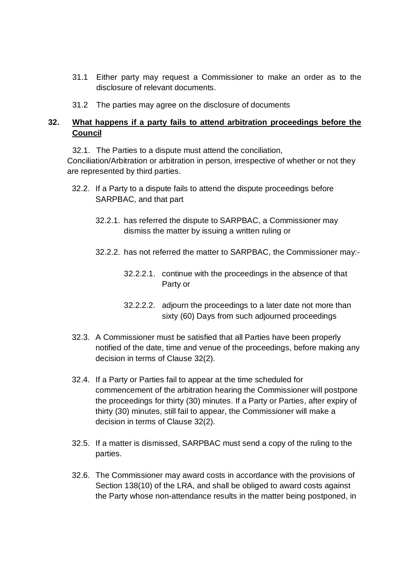- 31.1 Either party may request a Commissioner to make an order as to the disclosure of relevant documents.
- 31.2 The parties may agree on the disclosure of documents

## **32. What happens if a party fails to attend arbitration proceedings before the Council**

32.1. The Parties to a dispute must attend the conciliation,

Conciliation/Arbitration or arbitration in person, irrespective of whether or not they are represented by third parties.

- 32.2. If a Party to a dispute fails to attend the dispute proceedings before SARPBAC, and that part
	- 32.2.1. has referred the dispute to SARPBAC, a Commissioner may dismiss the matter by issuing a written ruling or
	- 32.2.2. has not referred the matter to SARPBAC, the Commissioner may:-
		- 32.2.2.1. continue with the proceedings in the absence of that Party or
		- 32.2.2.2. adjourn the proceedings to a later date not more than sixty (60) Days from such adjourned proceedings
- 32.3. A Commissioner must be satisfied that all Parties have been properly notified of the date, time and venue of the proceedings, before making any decision in terms of Clause 32(2).
- 32.4. If a Party or Parties fail to appear at the time scheduled for commencement of the arbitration hearing the Commissioner will postpone the proceedings for thirty (30) minutes. If a Party or Parties, after expiry of thirty (30) minutes, still fail to appear, the Commissioner will make a decision in terms of Clause 32(2).
- 32.5. If a matter is dismissed, SARPBAC must send a copy of the ruling to the parties.
- 32.6. The Commissioner may award costs in accordance with the provisions of Section 138(10) of the LRA, and shall be obliged to award costs against the Party whose non-attendance results in the matter being postponed, in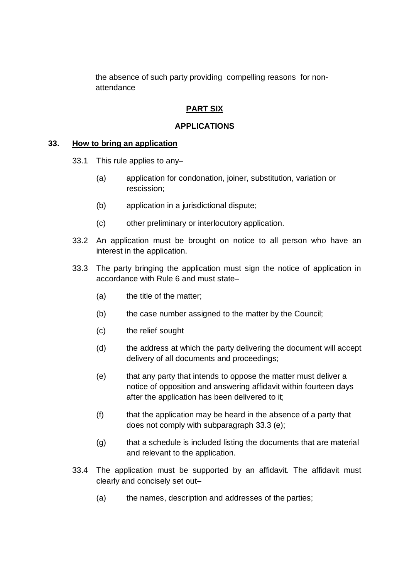the absence of such party providing compelling reasons for nonattendance

## **PART SIX**

## **APPLICATIONS**

#### **33. How to bring an application**

- 33.1 This rule applies to any–
	- (a) application for condonation, joiner, substitution, variation or rescission;
	- (b) application in a jurisdictional dispute;
	- (c) other preliminary or interlocutory application.
- 33.2 An application must be brought on notice to all person who have an interest in the application.
- 33.3 The party bringing the application must sign the notice of application in accordance with Rule 6 and must state–
	- (a) the title of the matter;
	- (b) the case number assigned to the matter by the Council;
	- (c) the relief sought
	- (d) the address at which the party delivering the document will accept delivery of all documents and proceedings;
	- (e) that any party that intends to oppose the matter must deliver a notice of opposition and answering affidavit within fourteen days after the application has been delivered to it;
	- (f) that the application may be heard in the absence of a party that does not comply with subparagraph 33.3 (e);
	- (g) that a schedule is included listing the documents that are material and relevant to the application.
- 33.4 The application must be supported by an affidavit. The affidavit must clearly and concisely set out–
	- (a) the names, description and addresses of the parties;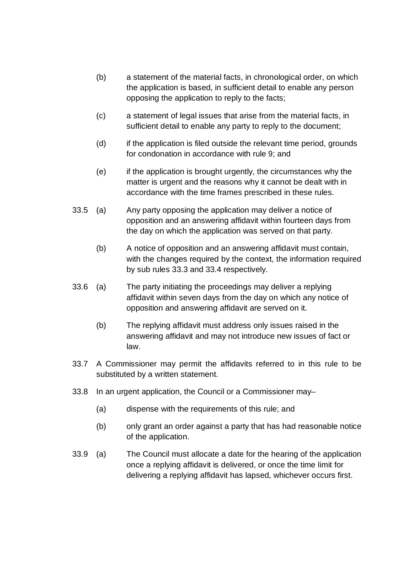- (b) a statement of the material facts, in chronological order, on which the application is based, in sufficient detail to enable any person opposing the application to reply to the facts;
- (c) a statement of legal issues that arise from the material facts, in sufficient detail to enable any party to reply to the document;
- (d) if the application is filed outside the relevant time period, grounds for condonation in accordance with rule 9; and
- (e) if the application is brought urgently, the circumstances why the matter is urgent and the reasons why it cannot be dealt with in accordance with the time frames prescribed in these rules.
- 33.5 (a) Any party opposing the application may deliver a notice of opposition and an answering affidavit within fourteen days from the day on which the application was served on that party.
	- (b) A notice of opposition and an answering affidavit must contain, with the changes required by the context, the information required by sub rules 33.3 and 33.4 respectively.
- 33.6 (a) The party initiating the proceedings may deliver a replying affidavit within seven days from the day on which any notice of opposition and answering affidavit are served on it.
	- (b) The replying affidavit must address only issues raised in the answering affidavit and may not introduce new issues of fact or law.
- 33.7 A Commissioner may permit the affidavits referred to in this rule to be substituted by a written statement.
- 33.8 In an urgent application, the Council or a Commissioner may–
	- (a) dispense with the requirements of this rule; and
	- (b) only grant an order against a party that has had reasonable notice of the application.
- 33.9 (a) The Council must allocate a date for the hearing of the application once a replying affidavit is delivered, or once the time limit for delivering a replying affidavit has lapsed, whichever occurs first.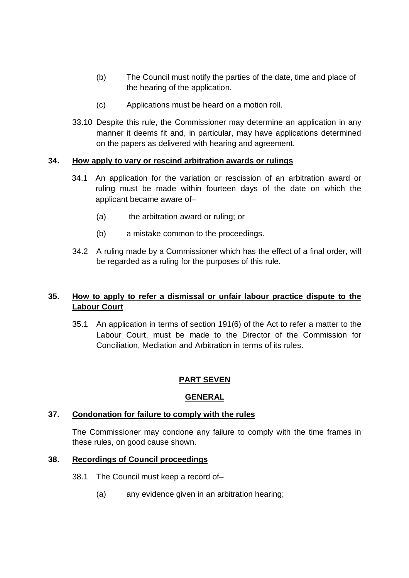- (b) The Council must notify the parties of the date, time and place of the hearing of the application.
- (c) Applications must be heard on a motion roll.
- 33.10 Despite this rule, the Commissioner may determine an application in any manner it deems fit and, in particular, may have applications determined on the papers as delivered with hearing and agreement.

## **34. How apply to vary or rescind arbitration awards or rulings**

- 34.1 An application for the variation or rescission of an arbitration award or ruling must be made within fourteen days of the date on which the applicant became aware of–
	- (a) the arbitration award or ruling; or
	- (b) a mistake common to the proceedings.
- 34.2 A ruling made by a Commissioner which has the effect of a final order, will be regarded as a ruling for the purposes of this rule.

## **35. How to apply to refer a dismissal or unfair labour practice dispute to the Labour Court**

35.1 An application in terms of section 191(6) of the Act to refer a matter to the Labour Court, must be made to the Director of the Commission for Conciliation, Mediation and Arbitration in terms of its rules.

## **PART SEVEN**

## **GENERAL**

## **37. Condonation for failure to comply with the rules**

The Commissioner may condone any failure to comply with the time frames in these rules, on good cause shown.

## **38. Recordings of Council proceedings**

- 38.1 The Council must keep a record of–
	- (a) any evidence given in an arbitration hearing;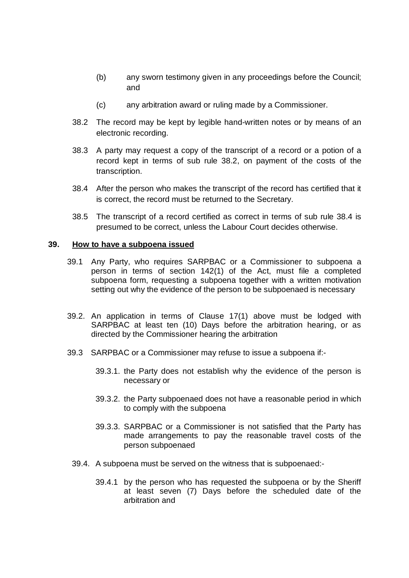- (b) any sworn testimony given in any proceedings before the Council; and
- (c) any arbitration award or ruling made by a Commissioner.
- 38.2 The record may be kept by legible hand-written notes or by means of an electronic recording.
- 38.3 A party may request a copy of the transcript of a record or a potion of a record kept in terms of sub rule 38.2, on payment of the costs of the transcription.
- 38.4 After the person who makes the transcript of the record has certified that it is correct, the record must be returned to the Secretary.
- 38.5 The transcript of a record certified as correct in terms of sub rule 38.4 is presumed to be correct, unless the Labour Court decides otherwise.

#### **39. How to have a subpoena issued**

- 39.1 Any Party, who requires SARPBAC or a Commissioner to subpoena a person in terms of section 142(1) of the Act, must file a completed subpoena form, requesting a subpoena together with a written motivation setting out why the evidence of the person to be subpoenaed is necessary
- 39.2. An application in terms of Clause 17(1) above must be lodged with SARPBAC at least ten (10) Days before the arbitration hearing, or as directed by the Commissioner hearing the arbitration
- 39.3 SARPBAC or a Commissioner may refuse to issue a subpoena if:-
	- 39.3.1. the Party does not establish why the evidence of the person is necessary or
	- 39.3.2. the Party subpoenaed does not have a reasonable period in which to comply with the subpoena
	- 39.3.3. SARPBAC or a Commissioner is not satisfied that the Party has made arrangements to pay the reasonable travel costs of the person subpoenaed
	- 39.4. A subpoena must be served on the witness that is subpoenaed:-
		- 39.4.1 by the person who has requested the subpoena or by the Sheriff at least seven (7) Days before the scheduled date of the arbitration and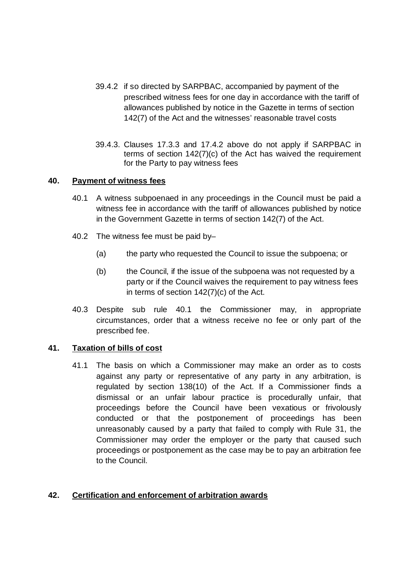- 39.4.2 if so directed by SARPBAC, accompanied by payment of the prescribed witness fees for one day in accordance with the tariff of allowances published by notice in the Gazette in terms of section 142(7) of the Act and the witnesses' reasonable travel costs
- 39.4.3. Clauses 17.3.3 and 17.4.2 above do not apply if SARPBAC in terms of section 142(7)(c) of the Act has waived the requirement for the Party to pay witness fees

### **40. Payment of witness fees**

- 40.1 A witness subpoenaed in any proceedings in the Council must be paid a witness fee in accordance with the tariff of allowances published by notice in the Government Gazette in terms of section 142(7) of the Act.
- 40.2 The witness fee must be paid by–
	- (a) the party who requested the Council to issue the subpoena; or
	- (b) the Council, if the issue of the subpoena was not requested by a party or if the Council waives the requirement to pay witness fees in terms of section 142(7)(c) of the Act.
- 40.3 Despite sub rule 40.1 the Commissioner may, in appropriate circumstances, order that a witness receive no fee or only part of the prescribed fee.

#### **41. Taxation of bills of cost**

41.1 The basis on which a Commissioner may make an order as to costs against any party or representative of any party in any arbitration, is regulated by section 138(10) of the Act. If a Commissioner finds a dismissal or an unfair labour practice is procedurally unfair, that proceedings before the Council have been vexatious or frivolously conducted or that the postponement of proceedings has been unreasonably caused by a party that failed to comply with Rule 31, the Commissioner may order the employer or the party that caused such proceedings or postponement as the case may be to pay an arbitration fee to the Council.

## **42. Certification and enforcement of arbitration awards**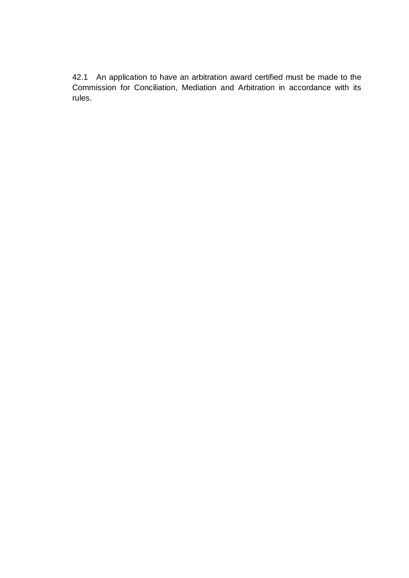42.1 An application to have an arbitration award certified must be made to the Commission for Conciliation, Mediation and Arbitration in accordance with its rules.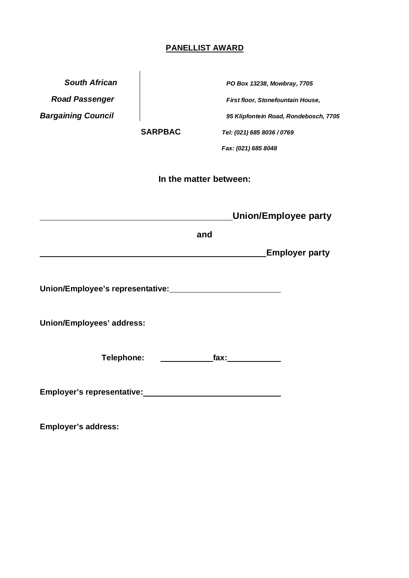# **PANELLIST AWARD**

| <b>South African</b>                                                 |                        | PO Box 13238, Mowbray, 7705           |
|----------------------------------------------------------------------|------------------------|---------------------------------------|
| <b>Road Passenger</b>                                                |                        | First floor, Stonefountain House,     |
| <b>Bargaining Council</b>                                            |                        | 95 Klipfontein Road, Rondebosch, 7705 |
|                                                                      | <b>SARPBAC</b>         | Tel: (021) 685 8036 / 0769            |
|                                                                      |                        | Fax: (021) 685 8048                   |
|                                                                      | In the matter between: |                                       |
|                                                                      |                        | <b>Union/Employee party</b>           |
|                                                                      | and                    |                                       |
|                                                                      |                        | <b>Employer party</b>                 |
| Union/Employee's representative:<br>Union/Employee's representative: |                        |                                       |
| Union/Employees' address:                                            |                        |                                       |
| Telephone:                                                           |                        | $\mathbf{f}$ ax: $\qquad \qquad$      |
| Employer's representative:                                           |                        |                                       |

**Employer's address:**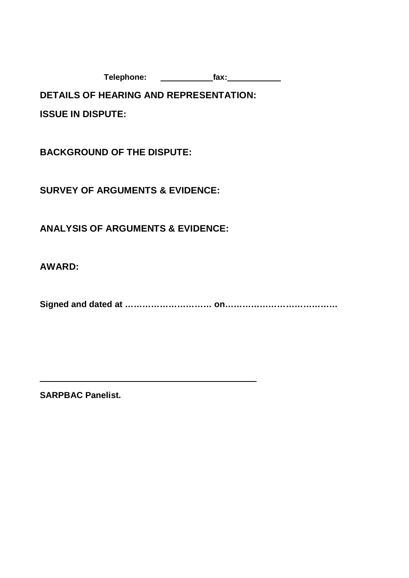**Telephone: fax:**

**DETAILS OF HEARING AND REPRESENTATION:**

**ISSUE IN DISPUTE:**

**BACKGROUND OF THE DISPUTE:**

**SURVEY OF ARGUMENTS & EVIDENCE:**

**ANALYSIS OF ARGUMENTS & EVIDENCE:**

**AWARD:**

**Signed and dated at ………………………… on…………………………………**

**SARPBAC Panelist.**